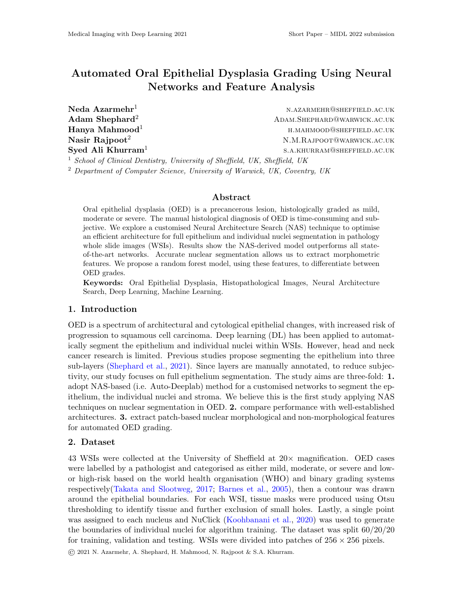# Automated Oral Epithelial Dysplasia Grading Using Neural Networks and Feature Analysis

Syed Ali Khurram<sup>1</sup>

Neda Azarmehr<sup>1</sup> n.azarmehr@sheffield.ac.uk Adam Shephard<sup>2</sup> ADAM.SHEPHARD@WARWICK.AC.UK  $\mathbf H$ anya  $\mathbf M$ ahmood $^1$  h.mahmood@sheffield.ac.uk **Nasir Rajpoot**<sup>2</sup>  $N.M.R$ AJPOOT@WARWICK.AC.UK s.a.khurram@sheffield.ac.uk

<sup>1</sup> School of Clinical Dentistry, University of Sheffield, UK, Sheffield, UK

<sup>2</sup> Department of Computer Science, University of Warwick, UK, Coventry, UK

## Abstract

Oral epithelial dysplasia (OED) is a precancerous lesion, histologically graded as mild, moderate or severe. The manual histological diagnosis of OED is time-consuming and subjective. We explore a customised Neural Architecture Search (NAS) technique to optimise an efficient architecture for full epithelium and individual nuclei segmentation in pathology whole slide images (WSIs). Results show the NAS-derived model outperforms all stateof-the-art networks. Accurate nuclear segmentation allows us to extract morphometric features. We propose a random forest model, using these features, to differentiate between OED grades.

Keywords: Oral Epithelial Dysplasia, Histopathological Images, Neural Architecture Search, Deep Learning, Machine Learning.

### 1. Introduction

OED is a spectrum of architectural and cytological epithelial changes, with increased risk of progression to squamous cell carcinoma. Deep learning (DL) has been applied to automatically segment the epithelium and individual nuclei within WSIs. However, head and neck cancer research is limited. Previous studies propose segmenting the epithelium into three sub-layers [\(Shephard et al.,](#page-2-0) [2021\)](#page-2-0). Since layers are manually annotated, to reduce subjectivity, our study focuses on full epithelium segmentation. The study aims are three-fold: 1. adopt NAS-based (i.e. Auto-Deeplab) method for a customised networks to segment the epithelium, the individual nuclei and stroma. We believe this is the first study applying NAS techniques on nuclear segmentation in OED. 2. compare performance with well-established architectures. 3. extract patch-based nuclear morphological and non-morphological features for automated OED grading.

## 2. Dataset

43 WSIs were collected at the University of Sheffield at  $20\times$  magnification. OED cases were labelled by a pathologist and categorised as either mild, moderate, or severe and lowor high-risk based on the world health organisation (WHO) and binary grading systems respectively[\(Takata and Slootweg,](#page-2-1) [2017;](#page-2-1) [Barnes et al.,](#page-2-2) [2005\)](#page-2-2), then a contour was drawn around the epithelial boundaries. For each WSI, tissue masks were produced using Otsu thresholding to identify tissue and further exclusion of small holes. Lastly, a single point was assigned to each nucleus and NuClick [\(Koohbanani et al.,](#page-2-3) [2020\)](#page-2-3) was used to generate the boundaries of individual nuclei for algorithm training. The dataset was split 60/20/20 for training, validation and testing. WSIs were divided into patches of  $256 \times 256$  pixels.

© 2021 N. Azarmehr, A. Shephard, H. Mahmood, N. Rajpoot & S.A. Khurram.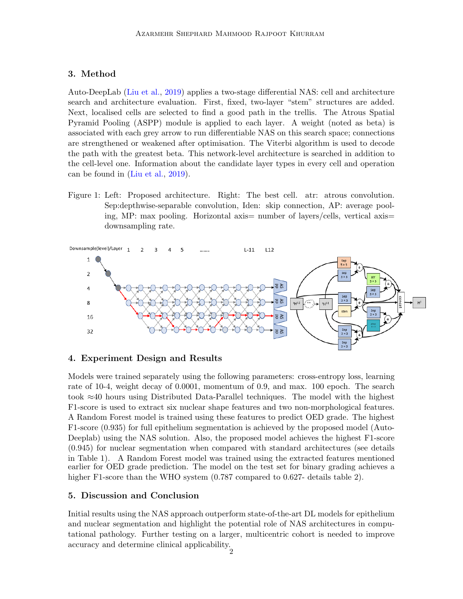# 3. Method

Auto-DeepLab [\(Liu et al.,](#page-2-4) [2019\)](#page-2-4) applies a two-stage differential NAS: cell and architecture search and architecture evaluation. First, fixed, two-layer "stem" structures are added. Next, localised cells are selected to find a good path in the trellis. The Atrous Spatial Pyramid Pooling (ASPP) module is applied to each layer. A weight (noted as beta) is associated with each grey arrow to run differentiable NAS on this search space; connections are strengthened or weakened after optimisation. The Viterbi algorithm is used to decode the path with the greatest beta. This network-level architecture is searched in addition to the cell-level one. Information about the candidate layer types in every cell and operation can be found in [\(Liu et al.,](#page-2-4) [2019\)](#page-2-4).

Figure 1: Left: Proposed architecture. Right: The best cell. atr: atrous convolution. Sep:depthwise-separable convolution, Iden: skip connection, AP: average pooling, MP: max pooling. Horizontal axis= number of layers/cells, vertical axis= downsampling rate.



## 4. Experiment Design and Results

Models were trained separately using the following parameters: cross-entropy loss, learning rate of 10-4, weight decay of 0.0001, momentum of 0.9, and max. 100 epoch. The search took ≈40 hours using Distributed Data-Parallel techniques. The model with the highest F1-score is used to extract six nuclear shape features and two non-morphological features. A Random Forest model is trained using these features to predict OED grade. The highest F1-score (0.935) for full epithelium segmentation is achieved by the proposed model (Auto-Deeplab) using the NAS solution. Also, the proposed model achieves the highest F1-score (0.945) for nuclear segmentation when compared with standard architectures (see details in Table 1). A Random Forest model was trained using the extracted features mentioned earlier for OED grade prediction. The model on the test set for binary grading achieves a higher F1-score than the WHO system  $(0.787 \text{ compared to } 0.627)$ - details table 2).

### 5. Discussion and Conclusion

Initial results using the NAS approach outperform state-of-the-art DL models for epithelium and nuclear segmentation and highlight the potential role of NAS architectures in computational pathology. Further testing on a larger, multicentric cohort is needed to improve accuracy and determine clinical applicability.